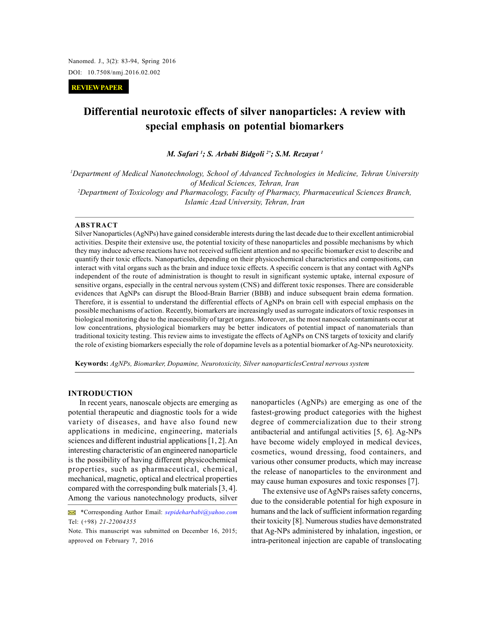Nanomed. J., 3(2): 83-94, Spring 2016 DOI: 10.7508/nmj.2016.02.002

 **REVIEW PAPER**

# **Differential neurotoxic effects of silver nanoparticles: A review with special emphasis on potential biomarkers**

*M. Safari <sup>1</sup>; S. Arbabi Bidgoli 2\*; S.M. Rezayat <sup>1</sup>*

*<sup>1</sup>Department of Medical Nanotechnology, School of Advanced Technologies in Medicine, Tehran University of Medical Sciences, Tehran, Iran <sup>2</sup>Department of Toxicology and Pharmacology, Faculty of Pharmacy, Pharmaceutical Sciences Branch, Islamic Azad University, Tehran, Iran*

#### **ABSTRACT**

Silver Nanoparticles (AgNPs) have gained considerable interests during the last decade due to their excellent antimicrobial activities. Despite their extensive use, the potential toxicity of these nanoparticles and possible mechanisms by which they may induce adverse reactions have not received sufficient attention and no specific biomarker exist to describe and quantify their toxic effects. Nanoparticles, depending on their physicochemical characteristics and compositions, can interact with vital organs such as the brain and induce toxic effects. A specific concern is that any contact with AgNPs independent of the route of administration is thought to result in significant systemic uptake, internal exposure of sensitive organs, especially in the central nervous system (CNS) and different toxic responses. There are considerable evidences that AgNPs can disrupt the Blood-Brain Barrier (BBB) and induce subsequent brain edema formation. Therefore, it is essential to understand the differential effects of AgNPs on brain cell with especial emphasis on the possible mechanisms of action. Recently, biomarkers are increasingly used as surrogate indicators of toxic responses in biological monitoring due to the inaccessibility of target organs. Moreover, as the most nanoscale contaminants occur at low concentrations, physiological biomarkers may be better indicators of potential impact of nanomaterials than traditional toxicity testing. This review aims to investigate the effects of AgNPs on CNS targets of toxicity and clarify the role of existing biomarkers especially the role of dopamine levels as a potential biomarker of Ag-NPs neurotoxicity.

**Keywords:** *AgNPs, Biomarker, Dopamine, Neurotoxicity, Silver nanoparticlesCentral nervous system*

# **INTRODUCTION**

In recent years, nanoscale objects are emerging as potential therapeutic and diagnostic tools for a wide variety of diseases, and have also found new applications in medicine, engineering, materials sciences and different industrial applications [1, 2]. An interesting characteristic of an engineered nanoparticle is the possibility of having different physicochemical properties, such as pharmaceutical, chemical, mechanical, magnetic, optical and electrical properties compared with the corresponding bulk materials [3, 4]. Among the various nanotechnology products, silver

nanoparticles (AgNPs) are emerging as one of the fastest-growing product categories with the highest degree of commercialization due to their strong antibacterial and antifungal activities [5, 6]. Ag-NPs have become widely employed in medical devices, cosmetics, wound dressing, food containers, and various other consumer products, which may increase the release of nanoparticles to the environment and may cause human exposures and toxic responses [7].

The extensive use of AgNPs raises safety concerns, due to the considerable potential for high exposure in humans and the lack of sufficient information regarding their toxicity [8]. Numerous studies have demonstrated that Ag-NPs administered by inhalation, ingestion, or intra-peritoneal injection are capable of translocating

<sup>\*</sup>Corresponding Author Email: *sepideharbabi@yahoo.com* Tel: (+98) *21-22004355*

Note. This manuscript was submitted on December 16, 2015; approved on February 7, 2016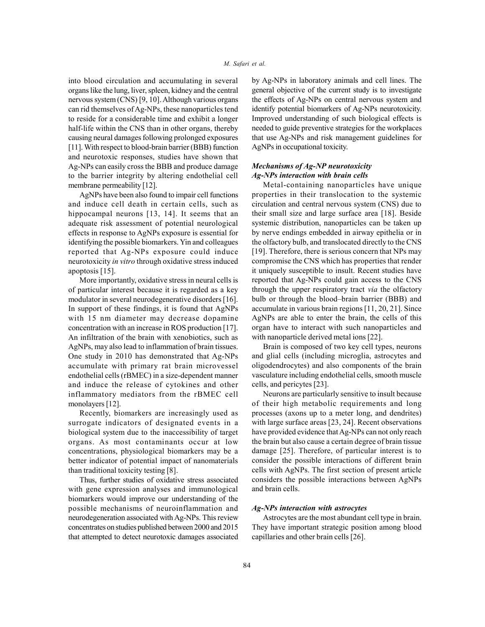into blood circulation and accumulating in several organs like the lung, liver, spleen, kidney and the central nervous system (CNS) [9, 10]. Although various organs can rid themselves of Ag-NPs, these nanoparticles tend to reside for a considerable time and exhibit a longer half-life within the CNS than in other organs, thereby causing neural damages following prolonged exposures [11]. With respect to blood-brain barrier (BBB) function and neurotoxic responses, studies have shown that Ag-NPs can easily cross the BBB and produce damage to the barrier integrity by altering endothelial cell membrane permeability [12].

AgNPs have been also found to impair cell functions and induce cell death in certain cells, such as hippocampal neurons [13, 14]. It seems that an adequate risk assessment of potential neurological effects in response to AgNPs exposure is essential for identifying the possible biomarkers. Yin and colleagues reported that Ag-NPs exposure could induce neurotoxicity *in vitro* through oxidative stress induced apoptosis [15].

More importantly, oxidative stress in neural cells is of particular interest because it is regarded as a key modulator in several neurodegenerative disorders [16]. In support of these findings, it is found that AgNPs with 15 nm diameter may decrease dopamine concentration with an increase in ROS production [17]. An infiltration of the brain with xenobiotics, such as AgNPs, may also lead to inflammation of brain tissues. One study in 2010 has demonstrated that Ag-NPs accumulate with primary rat brain microvessel endothelial cells (rBMEC) in a size-dependent manner and induce the release of cytokines and other inflammatory mediators from the rBMEC cell monolayers [12].

Recently, biomarkers are increasingly used as surrogate indicators of designated events in a biological system due to the inaccessibility of target organs. As most contaminants occur at low concentrations, physiological biomarkers may be a better indicator of potential impact of nanomaterials than traditional toxicity testing [8].

Thus, further studies of oxidative stress associated with gene expression analyses and immunological biomarkers would improve our understanding of the possible mechanisms of neuroinflammation and neurodegeneration associated with Ag-NPs. This review concentrates on studies published between 2000 and 2015 that attempted to detect neurotoxic damages associated

by Ag-NPs in laboratory animals and cell lines. The general objective of the current study is to investigate the effects of Ag-NPs on central nervous system and identify potential biomarkers of Ag-NPs neurotoxicity. Improved understanding of such biological effects is needed to guide preventive strategies for the workplaces that use Ag-NPs and risk management guidelines for AgNPs in occupational toxicity.

# *Mechanisms of Ag-NP neurotoxicity Ag-NPs interaction with brain cells*

Metal-containing nanoparticles have unique properties in their translocation to the systemic circulation and central nervous system (CNS) due to their small size and large surface area [18]. Beside systemic distribution, nanoparticles can be taken up by nerve endings embedded in airway epithelia or in the olfactory bulb, and translocated directly to the CNS [19]. Therefore, there is serious concern that NPs may compromise the CNS which has properties that render it uniquely susceptible to insult. Recent studies have reported that Ag-NPs could gain access to the CNS through the upper respiratory tract *via* the olfactory bulb or through the blood–brain barrier (BBB) and accumulate in various brain regions [11, 20, 21]. Since AgNPs are able to enter the brain, the cells of this organ have to interact with such nanoparticles and with nanoparticle derived metal ions [22].

Brain is composed of two key cell types, neurons and glial cells (including microglia, astrocytes and oligodendrocytes) and also components of the brain vasculature including endothelial cells, smooth muscle cells, and pericytes [23].

Neurons are particularly sensitive to insult because of their high metabolic requirements and long processes (axons up to a meter long, and dendrites) with large surface areas [23, 24]. Recent observations have provided evidence that Ag-NPs can not only reach the brain but also cause a certain degree of brain tissue damage [25]. Therefore, of particular interest is to consider the possible interactions of different brain cells with AgNPs. The first section of present article considers the possible interactions between AgNPs and brain cells.

# *Ag-NPs interaction with astrocytes*

Astrocytes are the most abundant cell type in brain. They have important strategic position among blood capillaries and other brain cells [26].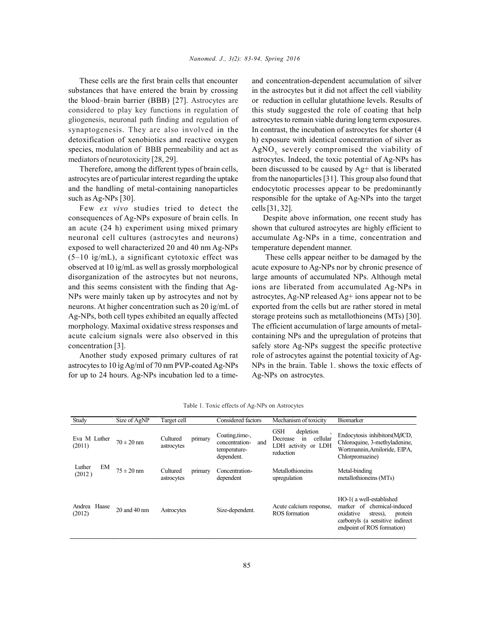These cells are the first brain cells that encounter substances that have entered the brain by crossing the blood–brain barrier (BBB) [27]. Astrocytes are considered to play key functions in regulation of gliogenesis, neuronal path finding and regulation of synaptogenesis. They are also involved in the detoxification of xenobiotics and reactive oxygen species, modulation of BBB permeability and act as mediators of neurotoxicity [28, 29].

Therefore, among the different types of brain cells, astrocytes are of particular interest regarding the uptake and the handling of metal-containing nanoparticles such as Ag-NPs [30].

Few *ex vivo* studies tried to detect the consequences of Ag-NPs exposure of brain cells. In an acute (24 h) experiment using mixed primary neuronal cell cultures (astrocytes and neurons) exposed to well characterized 20 and 40 nm Ag-NPs (5–10 ìg/mL), a significant cytotoxic effect was observed at 10 ìg/mL as well as grossly morphological disorganization of the astrocytes but not neurons, and this seems consistent with the finding that Ag-NPs were mainly taken up by astrocytes and not by neurons. At higher concentration such as 20 ìg/mL of Ag-NPs, both cell types exhibited an equally affected morphology. Maximal oxidative stress responses and acute calcium signals were also observed in this concentration [3].

Another study exposed primary cultures of rat astrocytes to 10 ìg Ag/ml of 70 nm PVP-coated Ag-NPs for up to 24 hours. Ag-NPs incubation led to a timeand concentration-dependent accumulation of silver in the astrocytes but it did not affect the cell viability or reduction in cellular glutathione levels. Results of this study suggested the role of coating that help astrocytes to remain viable during long term exposures. In contrast, the incubation of astrocytes for shorter (4 h) exposure with identical concentration of silver as AgNO<sub>2</sub> severely compromised the viability of astrocytes. Indeed, the toxic potential of Ag-NPs has been discussed to be caused by Ag+ that is liberated from the nanoparticles [31]. This group also found that endocytotic processes appear to be predominantly responsible for the uptake of Ag-NPs into the target cells [31, 32].

Despite above information, one recent study has shown that cultured astrocytes are highly efficient to accumulate Ag-NPs in a time, concentration and temperature dependent manner.

 These cells appear neither to be damaged by the acute exposure to Ag-NPs nor by chronic presence of large amounts of accumulated NPs. Although metal ions are liberated from accumulated Ag-NPs in astrocytes, Ag-NP released Ag+ ions appear not to be exported from the cells but are rather stored in metal storage proteins such as metallothioneins (MTs) [30]. The efficient accumulation of large amounts of metalcontaining NPs and the upregulation of proteins that safely store Ag-NPs suggest the specific protective role of astrocytes against the potential toxicity of Ag-NPs in the brain. Table 1. shows the toxic effects of Ag-NPs on astrocytes.

| Study                  | Size of AgNP     | Target cell                       | Considered factors                                                     | Mechanism of toxicity                                                                     | Biomarker                                                                                                                                                  |
|------------------------|------------------|-----------------------------------|------------------------------------------------------------------------|-------------------------------------------------------------------------------------------|------------------------------------------------------------------------------------------------------------------------------------------------------------|
| Eva M Luther<br>(2011) | $70 \pm 20$ nm   | primary<br>Cultured<br>astrocytes | Coating, time-,<br>concentration-<br>and<br>temperature-<br>dependent. | <b>GSH</b><br>depletion<br>cellular<br>Decrease<br>in<br>LDH activity or LDH<br>reduction | Endocytosis inhibitors $(M\beta CD)$ ,<br>Chloroquine, 3-methyladenine,<br>Wortmannin, Amiloride, EIPA,<br>Chlorpromazine)                                 |
| EM<br>Luther<br>(2012) | $75 \pm 20$ nm   | Cultured<br>primary<br>astrocytes | Concentration-<br>dependent                                            | Metallothioneins<br>upregulation                                                          | Metal-binding<br>metallothioneins (MTs)                                                                                                                    |
| Andrea Haase<br>(2012) | $20$ and $40$ nm | Astrocytes                        | Size-dependent.                                                        | Acute calcium response,<br>ROS formation                                                  | HO-1(a well-established<br>marker of chemical-induced<br>oxidative<br>stress).<br>protein<br>carbonyls (a sensitive indirect<br>endpoint of ROS formation) |

Table 1. Toxic effects of Ag-NPs on Astrocytes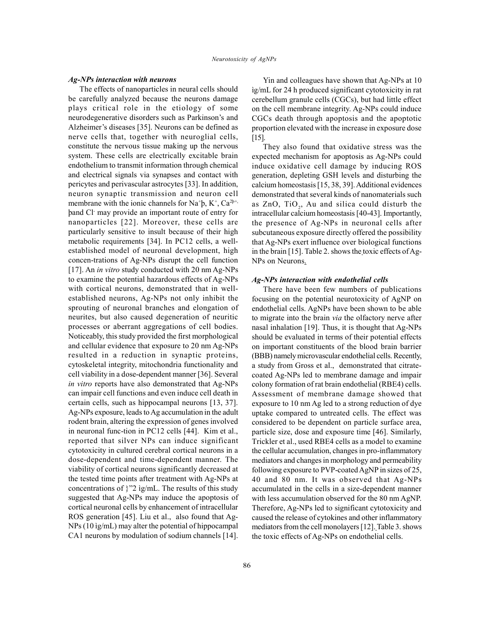#### *Ag-NPs interaction with neurons*

The effects of nanoparticles in neural cells should be carefully analyzed because the neurons damage plays critical role in the etiology of some neurodegenerative disorders such as Parkinson's and Alzheimer's diseases [35]. Neurons can be defined as nerve cells that, together with neuroglial cells, constitute the nervous tissue making up the nervous system. These cells are electrically excitable brain endothelium to transmit information through chemical and electrical signals via synapses and contact with pericytes and perivascular astrocytes [33]. In addition, neuron synaptic transmission and neuron cell membrane with the ionic channels for Na<sup>+</sup> $\rm b, K^{\scriptscriptstyle +}, Ca^{2b^{+}}$ , þand Cl- may provide an important route of entry for nanoparticles [22]. Moreover, these cells are particularly sensitive to insult because of their high metabolic requirements [34]. In PC12 cells, a wellestablished model of neuronal development, high concen-trations of Ag-NPs disrupt the cell function [17]. An *in vitro* study conducted with 20 nm Ag-NPs to examine the potential hazardous effects of Ag-NPs with cortical neurons, demonstrated that in wellestablished neurons, Ag-NPs not only inhibit the sprouting of neuronal branches and elongation of neurites, but also caused degeneration of neuritic processes or aberrant aggregations of cell bodies. Noticeably, this study provided the first morphological and cellular evidence that exposure to 20 nm Ag-NPs resulted in a reduction in synaptic proteins, cytoskeletal integrity, mitochondria functionality and cell viability in a dose-dependent manner [36]. Several *in vitro* reports have also demonstrated that Ag-NPs can impair cell functions and even induce cell death in certain cells, such as hippocampal neurons [13, 37]. Ag-NPs exposure, leads to Ag accumulation in the adult rodent brain, altering the expression of genes involved in neuronal func-tion in PC12 cells [44]. Kim et al., reported that silver NPs can induce significant cytotoxicity in cultured cerebral cortical neurons in a dose-dependent and time-dependent manner. The viability of cortical neurons significantly decreased at the tested time points after treatment with Ag-NPs at concentrations of }"2 ìg/mL. The results of this study suggested that Ag-NPs may induce the apoptosis of cortical neuronal cells by enhancement of intracellular ROS generation [45]. Liu et al., also found that Ag-NPs (10 ìg/mL) may alter the potential of hippocampal CA1 neurons by modulation of sodium channels [14].

Yin and colleagues have shown that Ag-NPs at 10 ìg/mL for 24 h produced significant cytotoxicity in rat cerebellum granule cells (CGCs), but had little effect on the cell membrane integrity. Ag-NPs could induce CGCs death through apoptosis and the apoptotic proportion elevated with the increase in exposure dose [15].

They also found that oxidative stress was the expected mechanism for apoptosis as Ag-NPs could induce oxidative cell damage by inducing ROS generation, depleting GSH levels and disturbing the calcium homeostasis [15, 38, 39]. Additional evidences demonstrated that several kinds of nanomaterials such as  $ZnO$ ,  $TiO<sub>2</sub>$ , Au and silica could disturb the intracellular calcium homeostasis [40-43]. Importantly, the presence of Ag-NPs in neuronal cells after subcutaneous exposure directly offered the possibility that Ag-NPs exert influence over biological functions in the brain [15]. Table 2. shows the toxic effects of Ag-NPs on Neurons.

### *Ag-NPs interaction with endothelial cells*

There have been few numbers of publications focusing on the potential neurotoxicity of AgNP on endothelial cells. AgNPs have been shown to be able to migrate into the brain *via* the olfactory nerve after nasal inhalation [19]. Thus, it is thought that Ag-NPs should be evaluated in terms of their potential effects on important constituents of the blood brain barrier (BBB) namely microvascular endothelial cells. Recently, a study from Gross et al., demonstrated that citratecoated Ag-NPs led to membrane damage and impair colony formation of rat brain endothelial (RBE4) cells. Assessment of membrane damage showed that exposure to 10 nm Ag led to a strong reduction of dye uptake compared to untreated cells. The effect was considered to be dependent on particle surface area, particle size, dose and exposure time [46]. Similarly, Trickler et al., used RBE4 cells as a model to examine the cellular accumulation, changes in pro-inflammatory mediators and changes in morphology and permeability following exposure to PVP-coated AgNP in sizes of 25, 40 and 80 nm. It was observed that Ag-NPs accumulated in the cells in a size-dependent manner with less accumulation observed for the 80 nm AgNP. Therefore, Ag-NPs led to significant cytotoxicity and caused the release of cytokines and other inflammatory mediators from the cell monolayers [12]. Table 3. shows the toxic effects of Ag-NPs on endothelial cells.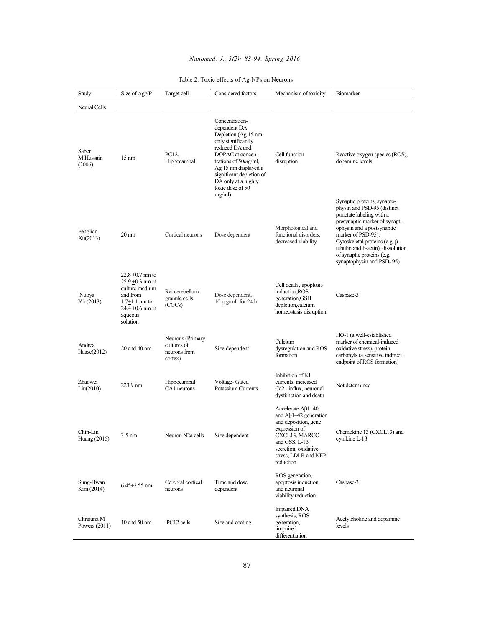# *Nanomed. J., 3(2): 83-94, Spring 2016*

| Study                          | Size of AgNP                                                                                                                             | Target cell                                                | Considered factors                                                                                                                                                                                                                                 | Mechanism of toxicity                                                                                                                                                                                           | Biomarker                                                                                                                                                                                                                                                                                                     |
|--------------------------------|------------------------------------------------------------------------------------------------------------------------------------------|------------------------------------------------------------|----------------------------------------------------------------------------------------------------------------------------------------------------------------------------------------------------------------------------------------------------|-----------------------------------------------------------------------------------------------------------------------------------------------------------------------------------------------------------------|---------------------------------------------------------------------------------------------------------------------------------------------------------------------------------------------------------------------------------------------------------------------------------------------------------------|
| Neural Cells                   |                                                                                                                                          |                                                            |                                                                                                                                                                                                                                                    |                                                                                                                                                                                                                 |                                                                                                                                                                                                                                                                                                               |
| Saber<br>M.Hussain<br>(2006)   | $15 \text{ nm}$                                                                                                                          | PC12.<br>Hippocampal                                       | Concentration-<br>dependent DA<br>Depletion (Ag 15 nm<br>only significantly<br>reduced DA and<br>DOPAC at concen-<br>trations of 50mg/ml,<br>Ag 15 nm displayed a<br>significant depletion of<br>DA only at a highly<br>toxic dose of 50<br>mg/ml) | Cell function<br>disruption                                                                                                                                                                                     | Reactive oxygen species (ROS),<br>dopamine levels                                                                                                                                                                                                                                                             |
| Fenglian<br>Xu(2013)           | $20 \text{ nm}$                                                                                                                          | Cortical neurons                                           | Dose dependent                                                                                                                                                                                                                                     | Morphological and<br>functional disorders,<br>decreased viability                                                                                                                                               | Synaptic proteins, synapto-<br>physin and PSD-95 (distinct<br>punctate labeling with a<br>presynaptic marker of synapt-<br>ophysin and a postsynaptic<br>marker of PSD-95).<br>Cytoskeletal proteins (e.g. β-<br>tubulin and F-actin), dissolution<br>of synaptic proteins (e.g.<br>synaptophysin and PSD-95) |
| Nuoya<br>Yin(2013)             | $22.8 + 0.7$ nm to<br>$25.9 + 0.3$ nm in<br>culture medium<br>and from<br>$1.7 + 1.1$ nm to<br>$24.4 + 0.6$ nm in<br>aqueous<br>solution | Rat cerebellum<br>granule cells<br>(CGCs)                  | Dose dependent,<br>$10 \mu$ g/mL for 24 h                                                                                                                                                                                                          | Cell death, apoptosis<br>induction, ROS<br>generation, GSH<br>depletion, calcium<br>homeostasis disruption                                                                                                      | Caspase-3                                                                                                                                                                                                                                                                                                     |
| Andrea<br>Hase(2012)           | 20 and 40 nm                                                                                                                             | Neurons (Primary<br>cultures of<br>neurons from<br>cortex) | Size-dependent                                                                                                                                                                                                                                     | Calcium<br>dysregulation and ROS<br>formation                                                                                                                                                                   | HO-1 (a well-established<br>marker of chemical-induced<br>oxidative stress), protein<br>carbonyls (a sensitive indirect<br>endpoint of ROS formation)                                                                                                                                                         |
| Zhaowei<br>Liu(2010)           | 223.9 nm                                                                                                                                 | Hippocampal<br>CA1 neurons                                 | Voltage-Gated<br><b>Potassium Currents</b>                                                                                                                                                                                                         | Inhibition of K1<br>currents, increased<br>Ca21 influx, neuronal<br>dysfunction and death                                                                                                                       | Not determined                                                                                                                                                                                                                                                                                                |
| Chin-Lin<br>Huang (2015)       | $3-5$ nm                                                                                                                                 | Neuron N2a cells                                           | Size dependent                                                                                                                                                                                                                                     | Accelerate $A\beta1-40$<br>and $\mathbf{A}\beta$ 1–42 generation<br>and deposition, gene<br>expression of<br>CXCL13, MARCO<br>and GSS, L-1 $\beta$<br>secretion, oxidative<br>stress, LDLR and NEP<br>reduction | Chemokine 13 (CXCL13) and<br>cytokine L- $1\beta$                                                                                                                                                                                                                                                             |
| Sung-Hwan<br>Kim (2014)        | $6.45 \pm 2.55$ nm                                                                                                                       | Cerebral cortical<br>neurons                               | Time and dose<br>dependent                                                                                                                                                                                                                         | ROS generation,<br>apoptosis induction<br>and neuronal<br>viability reduction                                                                                                                                   | Caspase-3                                                                                                                                                                                                                                                                                                     |
| Christina M<br>Powers $(2011)$ | 10 and 50 nm                                                                                                                             | PC12 cells                                                 | Size and coating                                                                                                                                                                                                                                   | <b>Impaired DNA</b><br>synthesis, ROS<br>generation.<br>impaired<br>differentiation                                                                                                                             | Acetylcholine and dopamine<br>levels                                                                                                                                                                                                                                                                          |

# Table 2. Toxic effects of Ag-NPs on Neurons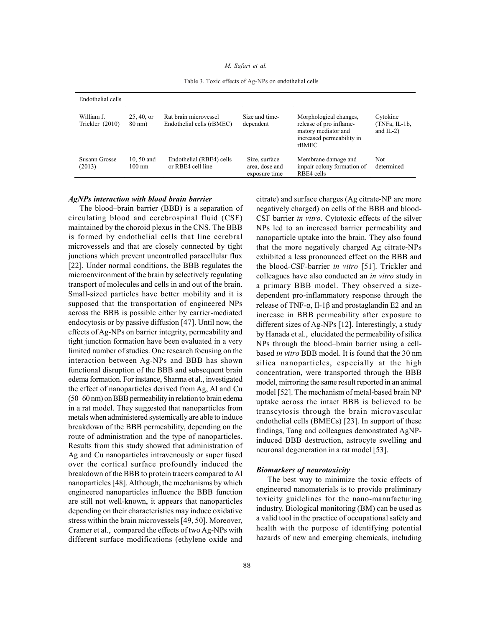#### *M. Safari et al.*

Table 3. Toxic effects of Ag-NPs on endothelial cells

| Endothelial cells             |                                |                                                    |                                                  |                                                                                                                |                                             |  |  |  |  |
|-------------------------------|--------------------------------|----------------------------------------------------|--------------------------------------------------|----------------------------------------------------------------------------------------------------------------|---------------------------------------------|--|--|--|--|
| William J.<br>Trickler (2010) | 25, 40, or<br>$80 \text{ nm}$  | Rat brain microvessel<br>Endothelial cells (rBMEC) | Size and time-<br>dependent                      | Morphological changes,<br>release of pro inflame-<br>matory mediator and<br>increased permeability in<br>rBMEC | Cytokine<br>$(TNFa, IL-1b,$<br>and $IL-2$ ) |  |  |  |  |
| Susann Grosse<br>(2013)       | 10, 50 and<br>$100 \text{ nm}$ | Endothelial (RBE4) cells<br>or RBE4 cell line      | Size, surface<br>area, dose and<br>exposure time | Membrane damage and<br>impair colony formation of<br>RBE4 cells                                                | Not<br>determined                           |  |  |  |  |

#### *AgNPs interaction with blood brain barrier*

The blood–brain barrier (BBB) is a separation of circulating blood and cerebrospinal fluid (CSF) maintained by the choroid plexus in the CNS. The BBB is formed by endothelial cells that line cerebral microvessels and that are closely connected by tight junctions which prevent uncontrolled paracellular flux [22]. Under normal conditions, the BBB regulates the microenvironment of the brain by selectively regulating transport of molecules and cells in and out of the brain. Small-sized particles have better mobility and it is supposed that the transportation of engineered NPs across the BBB is possible either by carrier-mediated endocytosis or by passive diffusion [47]. Until now, the effects of Ag-NPs on barrier integrity, permeability and tight junction formation have been evaluated in a very limited number of studies. One research focusing on the interaction between Ag-NPs and BBB has shown functional disruption of the BBB and subsequent brain edema formation. For instance, Sharma et al., investigated the effect of nanoparticles derived from Ag, Al and Cu (50–60 nm) on BBB permeability in relation to brain edema in a rat model. They suggested that nanoparticles from metals when administered systemically are able to induce breakdown of the BBB permeability, depending on the route of administration and the type of nanoparticles. Results from this study showed that administration of Ag and Cu nanoparticles intravenously or super fused over the cortical surface profoundly induced the breakdown of the BBB to protein tracers compared to Al nanoparticles [48]. Although, the mechanisms by which engineered nanoparticles influence the BBB function are still not well-known, it appears that nanoparticles depending on their characteristics may induce oxidative stress within the brain microvessels [49, 50]. Moreover, Cramer et al., compared the effects of two Ag-NPs with different surface modifications (ethylene oxide and

citrate) and surface charges (Ag citrate-NP are more negatively charged) on cells of the BBB and blood-CSF barrier *in vitro*. Cytotoxic effects of the silver NPs led to an increased barrier permeability and nanoparticle uptake into the brain. They also found that the more negatively charged Ag citrate-NPs exhibited a less pronounced effect on the BBB and the blood-CSF-barrier *in vitro* [51]. Trickler and colleagues have also conducted an *in vitro* study in a primary BBB model. They observed a sizedependent pro-inflammatory response through the release of TNF- $\alpha$ , Il-1β and prostaglandin E2 and an increase in BBB permeability after exposure to different sizes of Ag-NPs [12]. Interestingly, a study by Hanada et al., elucidated the permeability of silica NPs through the blood–brain barrier using a cellbased *in vitro* BBB model. It is found that the 30 nm silica nanoparticles, especially at the high concentration, were transported through the BBB model, mirroring the same result reported in an animal model [52]. The mechanism of metal-based brain NP uptake across the intact BBB is believed to be transcytosis through the brain microvascular endothelial cells (BMECs) [23]. In support of these findings, Tang and colleagues demonstrated AgNPinduced BBB destruction, astrocyte swelling and neuronal degeneration in a rat model [53].

# *Biomarkers of neurotoxicity*

The best way to minimize the toxic effects of engineered nanomaterials is to provide preliminary toxicity guidelines for the nano-manufacturing industry. Biological monitoring (BM) can be used as a valid tool in the practice of occupational safety and health with the purpose of identifying potential hazards of new and emerging chemicals, including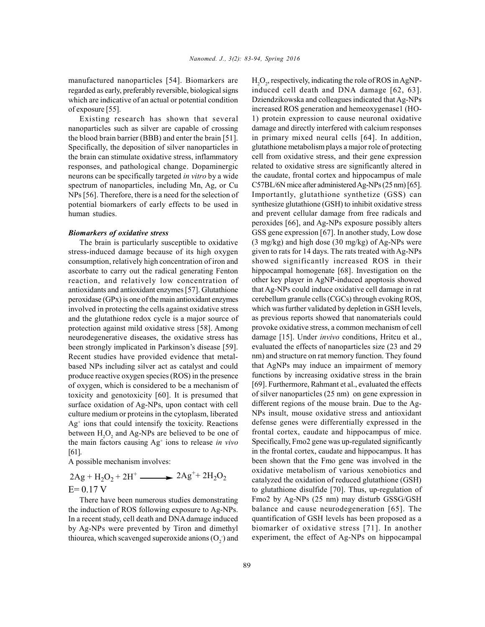manufactured nanoparticles [54]. Biomarkers are regarded as early, preferably reversible, biological signs which are indicative of an actual or potential condition of exposure [55].

Existing research has shown that several nanoparticles such as silver are capable of crossing the blood brain barrier (BBB) and enter the brain [51]. Specifically, the deposition of silver nanoparticles in the brain can stimulate oxidative stress, inflammatory responses, and pathological change. Dopaminergic neurons can be specifically targeted *in vitro* by a wide spectrum of nanoparticles, including Mn, Ag, or Cu NPs [56]. Therefore, there is a need for the selection of potential biomarkers of early effects to be used in human studies.

#### *Biomarkers of oxidative stress*

The brain is particularly susceptible to oxidative stress-induced damage because of its high oxygen consumption, relatively high concentration of iron and ascorbate to carry out the radical generating Fenton reaction, and relatively low concentration of antioxidants and antioxidant enzymes [57]. Glutathione peroxidase (GPx) is one of the main antioxidant enzymes involved in protecting the cells against oxidative stress and the glutathione redox cycle is a major source of protection against mild oxidative stress [58]. Among neurodegenerative diseases, the oxidative stress has been strongly implicated in Parkinson's disease [59]. Recent studies have provided evidence that metalbased NPs including silver act as catalyst and could produce reactive oxygen species (ROS) in the presence of oxygen, which is considered to be a mechanism of toxicity and genotoxicity [60]. It is presumed that surface oxidation of Ag-NPs, upon contact with cell culture medium or proteins in the cytoplasm, liberated  $Ag<sup>+</sup>$  ions that could intensify the toxicity. Reactions de between  $H_2O_2$  and Ag-NPs are believed to be one of fr the main factors causing Ag<sup>+</sup> ions to release *in vivo* Spec [61].

A possible mechanism involves:

 $2\text{Ag} + \text{H}_2\text{O}_2 + 2\text{H}^+$   $\longrightarrow$   $2\text{Ag}^+ + 2\text{H}_2\text{O}_2$  $E= 0.17 V$ 

There have been numerous studies demonstrating the induction of ROS following exposure to Ag-NPs. In a recent study, cell death and DNA damage induced by Ag-NPs were prevented by Tiron and dimethyl thiourea, which scavenged superoxide anions  $(O_2^-)$  and experience

 $H_2O_2$ , respectively, indicating the role of ROS in AgNPinduced cell death and DNA damage [62, 63]. Dziendzikowska and colleagues indicated that Ag-NPs increased ROS generation and hemeoxygenase1 (HO-1) protein expression to cause neuronal oxidative damage and directly interfered with calcium responses in primary mixed neural cells [64]. In addition, glutathione metabolism plays a major role of protecting cell from oxidative stress, and their gene expression related to oxidative stress are significantly altered in the caudate, frontal cortex and hippocampus of male C57BL/6N mice after administered Ag-NPs (25 nm) [65]. Importantly, glutathione synthetize (GSS) can synthesize glutathione (GSH) to inhibit oxidative stress and prevent cellular damage from free radicals and peroxides [66], and Ag-NPs exposure possibly alters GSS gene expression [67]. In another study, Low dose  $(3 \text{ mg/kg})$  and high dose  $(30 \text{ mg/kg})$  of Ag-NPs were given to rats for 14 days. The rats treated with Ag-NPs showed significantly increased ROS in their hippocampal homogenate [68]. Investigation on the other key player in AgNP-induced apoptosis showed that Ag-NPs could induce oxidative cell damage in rat cerebellum granule cells (CGCs) through evoking ROS, which was further validated by depletion in GSH levels, as previous reports showed that nanomaterials could provoke oxidative stress, a common mechanism of cell damage [15]. Under *invivo* conditions, Hritcu et al., evaluated the effects of nanoparticles size (23 and 29 nm) and structure on rat memory function. They found that AgNPs may induce an impairment of memory functions by increasing oxidative stress in the brain [69]. Furthermore, Rahmant et al., evaluated the effects of silver nanoparticles (25 nm) on gene expression in different regions of the mouse brain. Due to the Ag-NPs insult, mouse oxidative stress and antioxidant defense genes were differentially expressed in the frontal cortex, caudate and hippocampus of mice. Specifically, Fmo2 gene was up-regulated significantly in the frontal cortex, caudate and hippocampus. It has been shown that the Fmo gene was involved in the oxidative metabolism of various xenobiotics and catalyzed the oxidation of reduced glutathione (GSH) to glutathione disulfide [70]. Thus, up-regulation of Fmo2 by Ag-NPs (25 nm) may disturb GSSG/GSH balance and cause neurodegeneration [65]. The quantification of GSH levels has been proposed as a biomarker of oxidative stress [71]. In another experiment, the effect of Ag-NPs on hippocampal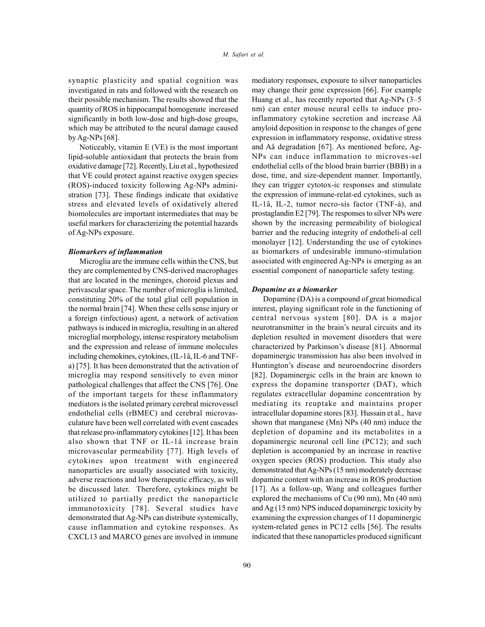synaptic plasticity and spatial cognition was investigated in rats and followed with the research on their possible mechanism. The results showed that the quantity of ROS in hippocampal homogenate increased significantly in both low-dose and high-dose groups, which may be attributed to the neural damage caused by Ag-NPs [68].

Noticeably, vitamin E (VE) is the most important lipid-soluble antioxidant that protects the brain from oxidative damage [72]. Recently, Liu et al., hypothesized that VE could protect against reactive oxygen species (ROS)-induced toxicity following Ag-NPs administration [73]. These findings indicate that oxidative stress and elevated levels of oxidatively altered biomolecules are important intermediates that may be useful markers for characterizing the potential hazards of Ag-NPs exposure.

## *Biomarkers of inflammation*

Microglia are the immune cells within the CNS, but they are complemented by CNS-derived macrophages that are located in the meninges, choroid plexus and perivascular space. The number of microglia is limited, constituting 20% of the total glial cell population in the normal brain [74]. When these cells sense injury or a foreign (infectious) agent, a network of activation pathways is induced in microglia, resulting in an altered microglial morphology, intense respiratory metabolism and the expression and release of immune molecules including chemokines, cytokines, (IL-1â, IL-6 and TNFa) [75]. It has been demonstrated that the activation of microglia may respond sensitively to even minor pathological challenges that affect the CNS [76]. One of the important targets for these inflammatory mediators is the isolated primary cerebral microvessel endothelial cells (rBMEC) and cerebral microvasculature have been well correlated with event cascades that release pro-inflammatory cytokines [12]. It has been also shown that TNF or IL-1â increase brain microvascular permeability [77]. High levels of cytokines upon treatment with engineered nanoparticles are usually associated with toxicity, adverse reactions and low therapeutic efficacy, as will be discussed later. Therefore, cytokines might be utilized to partially predict the nanoparticle immunotoxicity [78]. Several studies have demonstrated that Ag-NPs can distribute systemically, cause inflammation and cytokine responses. As CXCL13 and MARCO genes are involved in immune

mediatory responses, exposure to silver nanoparticles may change their gene expression [66]. For example Huang et al., has recently reported that Ag-NPs (3–5 nm) can enter mouse neural cells to induce proinflammatory cytokine secretion and increase Aâ amyloid deposition in response to the changes of gene expression in inflammatory response, oxidative stress and Aâ degradation [67]. As mentioned before, Ag-NPs can induce inflammation to microves-sel endothelial cells of the blood brain barrier (BBB) in a dose, time, and size-dependent manner. Importantly, they can trigger cytotox-ic responses and stimulate the expression of immune-relat-ed cytokines, such as IL-1â, IL-2, tumor necro-sis factor (TNF-á), and prostaglandin E2 [79]. The responses to silver NPs were shown by the increasing permeability of biological barrier and the reducing integrity of endotheli-al cell monolayer [12]. Understanding the use of cytokines as biomarkers of undesirable immuno-stimulation associated with engineered Ag-NPs is emerging as an essential component of nanoparticle safety testing.

#### *Dopamine as a biomarker*

Dopamine (DA) is a compound of great biomedical interest, playing significant role in the functioning of central nervous system [80]. DA is a major neurotransmitter in the brain's neural circuits and its depletion resulted in movement disorders that were characterized by Parkinson's disease [81]. Abnormal dopaminergic transmission has also been involved in Huntington's disease and neuroendocrine disorders [82]. Dopaminergic cells in the brain are known to express the dopamine transporter (DAT), which regulates extracellular dopamine concentration by mediating its reuptake and maintains proper intracellular dopamine stores [83]. Hussain et al., have shown that manganese (Mn) NPs (40 nm) induce the depletion of dopamine and its metabolites in a dopaminergic neuronal cell line (PC12); and such depletion is accompanied by an increase in reactive oxygen species (ROS) production. This study also demonstrated that Ag-NPs (15 nm) moderately decrease dopamine content with an increase in ROS production [17]. As a follow-up, Wang and colleagues further explored the mechanisms of Cu (90 nm), Mn (40 nm) and Ag (15 nm) NPS induced dopaminergic toxicity by examining the expression changes of 11 dopaminergic system-related genes in PC12 cells [56]. The results indicated that these nanoparticles produced significant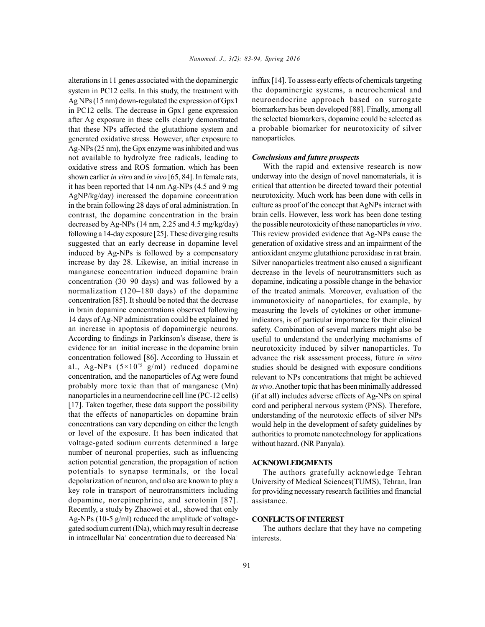alterations in 11 genes associated with the dopaminergic system in PC12 cells. In this study, the treatment with Ag NPs (15 nm) down-regulated the expression of Gpx1 in PC12 cells. The decrease in Gpx1 gene expression after Ag exposure in these cells clearly demonstrated that these NPs affected the glutathione system and generated oxidative stress. However, after exposure to Ag-NPs (25 nm), the Gpx enzyme was inhibited and was not available to hydrolyze free radicals, leading to oxidative stress and ROS formation. which has been shown earlier *in vitro* and *in vivo* [65, 84]. In female rats, it has been reported that 14 nm Ag-NPs (4.5 and 9 mg AgNP/kg/day) increased the dopamine concentration in the brain following 28 days of oral administration. In contrast, the dopamine concentration in the brain decreased by Ag-NPs (14 nm, 2.25 and 4.5 mg/kg/day) following a 14-day exposure [25]. These diverging results suggested that an early decrease in dopamine level induced by Ag-NPs is followed by a compensatory increase by day 28. Likewise, an initial increase in manganese concentration induced dopamine brain concentration (30–90 days) and was followed by a normalization (120–180 days) of the dopamine concentration [85]. It should be noted that the decrease in brain dopamine concentrations observed following 14 days of Ag-NP administration could be explained by an increase in apoptosis of dopaminergic neurons. According to findings in Parkinson's disease, there is evidence for an initial increase in the dopamine brain concentration followed [86]. According to Hussain et al., Ag-NPs  $(5 \times 10^{15} \text{ g/ml})$  reduced dopamine concentration, and the nanoparticles of Ag were found probably more toxic than that of manganese (Mn) nanoparticles in a neuroendocrine cell line (PC-12 cells) [17]. Taken together, these data support the possibility that the effects of nanoparticles on dopamine brain concentrations can vary depending on either the length or level of the exposure. It has been indicated that voltage-gated sodium currents determined a large number of neuronal properties, such as influencing action potential generation, the propagation of action potentials to synapse terminals, or the local depolarization of neuron, and also are known to play a key role in transport of neurotransmitters including dopamine, norepinephrine, and serotonin [87]. Recently, a study by Zhaowei et al., showed that only Ag-NPs (10-5 g/ml) reduced the amplitude of voltagegated sodium current (INa), which may result in decrease in intracellular  $Na^+$  concentration due to decreased  $Na^+$  in

inffux [14]. To assess early effects of chemicals targeting the dopaminergic systems, a neurochemical and neuroendocrine approach based on surrogate biomarkers has been developed [88]. Finally, among all the selected biomarkers, dopamine could be selected as a probable biomarker for neurotoxicity of silver nanoparticles.

# *Conclusions and future prospects*

With the rapid and extensive research is now underway into the design of novel nanomaterials, it is critical that attention be directed toward their potential neurotoxicity. Much work has been done with cells in culture as proof of the concept that AgNPs interact with brain cells. However, less work has been done testing the possible neurotoxicity of these nanoparticles*in vivo*. This review provided evidence that Ag-NPs cause the generation of oxidative stress and an impairment of the antioxidant enzyme glutathione peroxidase in rat brain. Silver nanoparticles treatment also caused a significant decrease in the levels of neurotransmitters such as dopamine, indicating a possible change in the behavior of the treated animals. Moreover, evaluation of the immunotoxicity of nanoparticles, for example, by measuring the levels of cytokines or other immuneindicators, is of particular importance for their clinical safety. Combination of several markers might also be useful to understand the underlying mechanisms of neurotoxicity induced by silver nanoparticles. To advance the risk assessment process, future *in vitro* studies should be designed with exposure conditions relevant to NPs concentrations that might be achieved *in vivo*. Another topic that has been minimally addressed (if at all) includes adverse effects of Ag-NPs on spinal cord and peripheral nervous system (PNS). Therefore, understanding of the neurotoxic effects of silver NPs would help in the development of safety guidelines by authorities to promote nanotechnology for applications without hazard. (NR Panyala).

### **ACKNOWLEDGMENTS**

The authors gratefully acknowledge Tehran University of Medical Sciences(TUMS), Tehran, Iran for providing necessary research facilities and financial assistance.

# **CONFLICTS OF INTEREST**

The authors declare that they have no competing interests.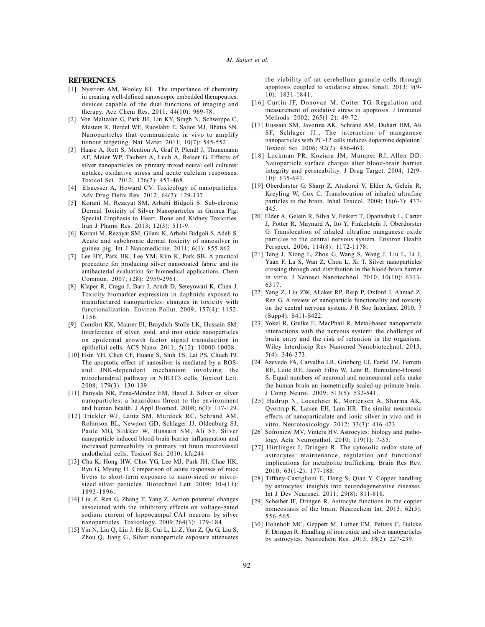#### **REFERENCES**

- [1] Nystrom AM, Wooley KL. The importance of chemistry in creating well-defined nanoscopic embedded therapeutics: devices capable of the dual functions of imaging and therapy. Acc Chem Res. 2011; 44(10): 969-78.
- [2] Von Maltzahn G, Park JH, Lin KY, Singh N, Schwoppe C, Mesters R, Berdel WE, Ruoslahti E, Sailor MJ, Bhatia SN. Nanoparticles that communicate in vivo to amplify tumour targeting. Nat Mater. 2011; 10(7): 545-552.
- [3] Haase A, Rott S, Mention A, Graf P, Plendl J, Thunemann AF, Meier WP, Taubert A, Luch A, Reiser G. Effects of silver nanoparticles on primary mixed neural cell cultures: uptake, oxidative stress and acute calcium responses. Toxicol Sci. 2012; 126(2): 457-468.
- [4] Elsaesser A, Howard CV. Toxicology of nanoparticles. Adv Drug Deliv Rev. 2012; 64(2): 129-137.
- [5] Korani M, Rezayat SM, Arbabi Bidgoli S. Sub-chronic Dermal Toxicity of Silver Nanoparticles in Guinea Pig: Special Emphasis to Heart, Bone and Kidney Toxicities. Iran J Pharm Res. 2013; 12(3): 511-9.
- [6] Korani M, Rezayat SM, Gilani K, Arbabi Bidgoli S, Adeli S. Acute and subchronic dermal toxicity of nanosilver in guinea pig. Int J Nanomedicine. 2011; 6(1): 855-862.
- [7] Lee HY, Park HK, Lee YM, Kim K, Park SB. A practical procedure for producing silver nanocoated fabric and its antibacterial evaluation for biomedical applications. Chem Commun. 2007; (28): 2959-2961.
- [8] Klaper R, Crago J, Barr J, Arndt D, Seteyowati K, Chen J. Toxicity biomarker expression in daphnids exposed to manufactured nanoparticles: changes in toxicity with functionalization. Environ Pollut. 2009; 157(4): 1152- 1156.
- [9] Comfort KK, Maurer EI, Braydich-Stolle LK, Hussain SM. Interference of silver, gold, and iron oxide nanoparticles on epidermal growth factor signal transduction in epithelial cells. ACS Nano. 2011; 5(12): 10000-10008.
- [10] Hsin YH, Chen CF, Huang S, Shih TS, Lai PS, Chueh PJ. The apoptotic effect of nanosilver is mediated by a ROSand JNK-dependent mechanism involving the mitochondrial pathway in NIH3T3 cells. Toxicol Lett. 2008; 179(3): 130-139.
- [11] Panyala NR, Pena-Méndez EM, Havel J. Silver or silver nanoparticles: a hazardous threat to the environment and human health. J Appl Biomed. 2008; 6(3): 117-129.
- [12] Trickler WJ, Lantz SM, Murdock RC, Schrand AM, Robinson BL, Newport GD, Schlager JJ, Oldenburg SJ, Paule MG, Slikker W, Hussain SM, Ali SF. Silver nanoparticle induced blood-brain barrier inflammation and increased permeability in primary rat brain microvessel endothelial cells. Toxicol Sci. 2010; kfq244
- [13] Cha K, Hong HW, Choi YG, Lee MJ, Park JH, Chae HK, Ryu G, Myung H. Comparison of acute responses of mice livers to short-term exposure to nano-sized or microsized silver particles. Biotechnol Lett.  $2008$ ;  $30-(11)$ : 1893-1896.
- [14] Liu Z, Ren G, Zhang T, Yang Z. Action potential changes associated with the inhibitory effects on voltage-gated sodium current of hippocampal CA1 neurons by silver nanoparticles. Toxicology. 2009;264(3): 179-184.
- [15] Yin N, Liu Q, Liu J, He B, Cui L, Li Z, Yun Z, Qu G, Liu S, Zhou Q, Jiang G., Silver nanoparticle exposure attenuates

the viability of rat cerebellum granule cells through apoptosis coupled to oxidative stress. Small. 2013; 9(9- 10): 1831-1841.

- [16] Curtin JF, Donovan M, Cotter TG. Regulation and measurement of oxidative stress in apoptosis. J Immunol Methods. 2002; 265(1-2): 49-72.
- [17] Hussain SM, Javorina AK, Schrand AM, Duhart HM, Ali SF, Schlager JJ., The interaction of manganese nanoparticles with PC-12 cells induces dopamine depletion. Toxicol Sci. 2006; 92(2): 456-463.
- [18] Lockman PR, Koziara JM, Mumper RJ, Allen DD. Nanoparticle surface charges alter blood-brain barrier integrity and permeability. J Drug Target. 2004; 12(9- 10): 635-641.
- [19] Oberdorster G, Sharp Z, Atudorei V, Elder A, Gelein R, Kreyling W, Cox C. Translocation of inhaled ultrafine particles to the brain. Inhal Toxicol. 2004; 16(6-7): 437- 445.
- [20] Elder A, Gelein R, Silva V, Feikert T, Opanashuk L, Carter J, Potter R, Maynard A, Ito Y, Finkelstein J, Oberdorster G. Translocation of inhaled ultrafine manganese oxide particles to the central nervous system. Environ Health Perspect. 2006; 114(8): 1172-1178.
- [21] Tang J, Xiong L, Zhou G, Wang S, Wang J, Liu L, Li J, Yuan F, Lu S, Wan Z, Chou L, Xi T. Silver nanoparticles crossing through and distribution in the blood-brain barrier in vitro. J Nanosci Nanotechnol. 2010; 10(10): 6313- 6317.
- [22] Yang Z, Liu ZW, Allaker RP, Reip P, Oxford J, Ahmad Z, Ren G. A review of nanoparticle functionality and toxicity on the central nervous system. J R Soc Interface. 2010; 7 (Supp4): S411-S422.
- [23] Yokel R, Grulke E, MacPhail R. Metal-based nanoparticle interactions with the nervous system: the challenge of brain entry and the risk of retention in the organism. Wiley Interdiscip Rev Nanomed Nanobiotechnol. 2013; 5(4): 346-373.
- [24] Azevedo FA, Carvalho LR, Grinberg LT, Farfel JM, Ferretti RE, Leite RE, Jacob Filho W, Lent R, Herculano-Houzel S. Equal numbers of neuronal and nonneuronal cells make the human brain an isometrically scaled-up primate brain. J Comp Neurol. 2009; 513(5): 532-541.
- [25] Hadrup N, Loeschner K, Mortensen A, Sharma AK, Qvortrup K, Larsen EH, Lam HR. The similar neurotoxic effects of nanoparticulate and ionic silver in vivo and in vitro. Neurotoxicology. 2012; 33(3): 416-423.
- [26] Sofroniew MV, Vinters HV. Astrocytes: biology and pathology. Acta Neuropathol. 2010; 119(1): 7-35.
- [27] Hirrlinger J, Dringen R. The cytosolic redox state of astrocytes: maintenance, regulation and functional implications for metabolite trafficking. Brain Res Rev. 2010; 63(1-2): 177-188.
- [28] Tiffany-Castiglioni E, Hong S, Qian Y. Copper handling by astrocytes: insights into neurodegenerative diseases. Int J Dev Neurosci. 2011; 29(8): 811-818.
- [29] Scheiber IF, Dringen R. Astrocyte functions in the copper homeostasis of the brain. Neurochem Int. 2013; 62(5): 556-565.
- [30] Hohnholt MC, Geppert M, Luther EM, Petters C, Bulcke F, Dringen R. Handling of iron oxide and silver nanoparticles by astrocytes. Neurochem Res. 2013; 38(2): 227-239.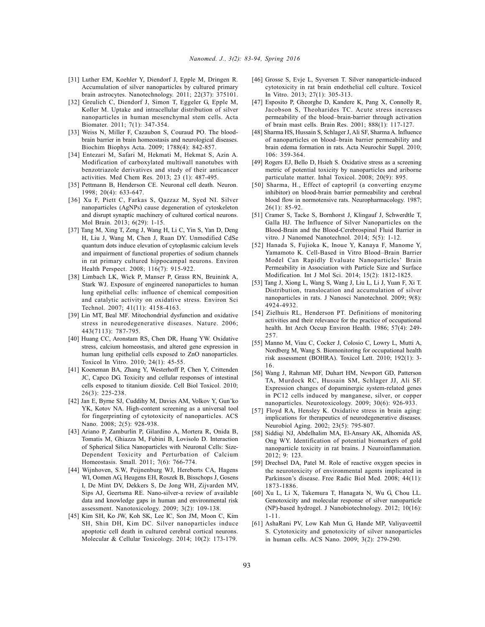- [31] Luther EM, Koehler Y, Diendorf J, Epple M, Dringen R. Accumulation of silver nanoparticles by cultured primary brain astrocytes. Nanotechnology. 2011; 22(37): 375101.
- [32] Greulich C, Diendorf J, Simon T, Eggeler G, Epple M, Koller M. Uptake and intracellular distribution of silver nanoparticles in human mesenchymal stem cells. Acta Biomater. 2011; 7(1): 347-354.
- [33] Weiss N, Miller F, Cazaubon S, Couraud PO. The bloodbrain barrier in brain homeostasis and neurological diseases. Biochim Biophys Acta. 2009; 1788(4): 842-857.
- [34] Entezari M, Safari M, Hekmati M, Hekmat S, Azin A. Modification of carboxylated multiwall nanotubes with benzotriazole derivatives and study of their anticancer activities. Med Chem Res. 2013; 23 (1): 487-495.
- [35] Pettmann B, Henderson CE. Neuronal cell death. Neuron. 1998; 20(4): 633-647.
- [36] Xu F, Piett C, Farkas S, Qazzaz M, Syed NI. Silver nanoparticles (AgNPs) cause degeneration of cytoskeleton and disrupt synaptic machinery of cultured cortical neurons. Mol Brain. 2013; 6(29): 1-15.
- [37] Tang M, Xing T, Zeng J, Wang H, Li C, Yin S, Yan D, Deng H, Liu J, Wang M, Chen J, Ruan DY. Unmodified CdSe quantum dots induce elevation of cytoplasmic calcium levels and impairment of functional properties of sodium channels in rat primary cultured hippocampal neurons. Environ Health Perspect. 2008; 116(7): 915-922.
- [38] Limbach LK, Wick P, Manser P, Grass RN, Bruinink A, Stark WJ. Exposure of engineered nanoparticles to human lung epithelial cells: influence of chemical composition and catalytic activity on oxidative stress. Environ Sci Technol. 2007; 41(11): 4158-4163.
- [39] Lin MT, Beal MF. Mitochondrial dysfunction and oxidative stress in neurodegenerative diseases. Nature. 2006; 443(7113): 787-795.
- [40] Huang CC, Aronstam RS, Chen DR, Huang YW. Oxidative stress, calcium homeostasis, and altered gene expression in human lung epithelial cells exposed to ZnO nanoparticles. Toxicol In Vitro. 2010; 24(1): 45-55.
- [41] Koeneman BA, Zhang Y, Westerhoff P, Chen Y, Crittenden JC, Capco DG. Toxicity and cellular responses of intestinal cells exposed to titanium dioxide. Cell Biol Toxicol. 2010; 26(3): 225-238.
- [42] Jan E, Byrne SJ, Cuddihy M, Davies AM, Volkov Y, Gun'ko YK, Kotov NA. High-content screening as a universal tool for fingerprinting of cytotoxicity of nanoparticles. ACS Nano. 2008; 2(5): 928-938.
- [43] Ariano P, Zamburlin P, Gilardino A, Mortera R, Onida B, Tomatis M, Ghiazza M, Fubini B, Lovisolo D. Interaction of Spherical Silica Nanoparticles with Neuronal Cells: Size-Dependent Toxicity and Perturbation of Calcium Homeostasis. Small. 2011; 7(6): 766-774.
- [44] Wijnhoven, S.W, Peijnenburg WJ, Hereberts CA, Hagens WI, Oomen AG, Heugens EH, Roszek B, Bisschops J, Gosens I, De Mint DV, Dekkers S, De Jong WH, Zijvarden MV, Sips AJ, Geertsma RE. Nano-silver-a review of available data and knowledge gaps in human and environmental risk assessment. Nanotoxicology. 2009; 3(2): 109-138.
- [45] Kim SH, Ko JW, Koh SK, Lee IC, Son JM, Moon C, Kim SH, Shin DH, Kim DC. Silver nanoparticles induce apoptotic cell death in cultured cerebral cortical neurons. Molecular & Cellular Toxicology. 2014; 10(2): 173-179.
- [46] Grosse S, Evje L, Syversen T. Silver nanoparticle-induced cytotoxicity in rat brain endothelial cell culture. Toxicol In Vitro. 2013; 27(1): 305-313.
- [47] Esposito P, Gheorghe D, Kandere K, Pang X, Connolly R, Jacobson S, Theoharides TC. Acute stress increases permeability of the blood–brain-barrier through activation of brain mast cells. Brain Res. 2001; 888(1): 117-127.
- [48] Sharma HS, Hussain S, Schlager J, Ali SF, Sharma A. Influence of nanoparticles on blood–brain barrier permeability and brain edema formation in rats. Acta Neurochir Suppl. 2010; 106: 359-364.
- [49] Rogers EJ, Bello D, Hsieh S. Oxidative stress as a screening metric of potential toxicity by nanoparticles and ariborne particulate matter. Inhal Toxicol. 2008; 20(9): 895.
- [50] Sharma, H., Effect of captopril (a converting enzyme inhibitor) on blood-brain barrier permeability and cerebral blood flow in normotensive rats. Neuropharmacology. 1987; 26(1): 85-92.
- [51] Cramer S, Tacke S, Bornhorst J, Klingauf J, Schwerdtle T, Galla HJ. The Influence of Silver Nanoparticles on the Blood-Brain and the Blood-Cerebrospinal Fluid Barrier in vitro. J Nanomed Nanotechnol. 2014; 5(5): 1-12.
- [52] Hanada S, Fujioka K, Inoue Y, Kanaya F, Manome Y, Yamamoto K. Cell-Based in Vitro Blood–Brain Barrier Model Can Rapidly Evaluate Nanoparticles' Brain Permeability in Association with Particle Size and Surface Modification. Int J Mol Sci. 2014; 15(2): 1812-1825.
- [53] Tang J, Xiong L, Wang S, Wang J, Liu L, Li J, Yuan F, Xi T. Distribution, translocation and accumulation of silver nanoparticles in rats. J Nanosci Nanotechnol. 2009; 9(8): 4924-4932.
- [54] Zielhuis RL, Henderson PT. Definitions of monitoring activities and their relevance for the practice of occupational health. Int Arch Occup Environ Health. 1986; 57(4): 249- 257.
- [55] Manno M, Viau C, Cocker J, Colosio C, Lowry L, Mutti A, Nordberg M, Wang S. Biomonitoring for occupational health risk assessment (BOHRA). Toxicol Lett. 2010; 192(1): 3- 16.
- [56] Wang J, Rahman MF, Duhart HM, Newport GD, Patterson TA, Murdock RC, Hussain SM, Schlager JJ, Ali SF. Expression changes of dopaminergic system-related genes in PC12 cells induced by manganese, silver, or copper nanoparticles. Neurotoxicology. 2009; 30(6): 926-933.
- [57] Floyd RA, Hensley K. Oxidative stress in brain aging: implications for therapeutics of neurodegenerative diseases. Neurobiol Aging. 2002; 23(5): 795-807.
- [58] Siddiqi NJ, Abdelhalim MA, El-Ansary AK, Alhomida AS, Ong WY. Identification of potential biomarkers of gold nanoparticle toxicity in rat brains. J Neuroinflammation. 2012; 9: 123.
- [59] Drechsel DA, Patel M. Role of reactive oxygen species in the neurotoxicity of environmental agents implicated in Parkinson's disease. Free Radic Biol Med. 2008; 44(11): 1873-1886.
- [60] Xu L, Li X, Takemura T, Hanagata N, Wu G, Chou LL. Genotoxicity and molecular response of silver nanoparticle (NP)-based hydrogel. J Nanobiotechnology. 2012; 10(16): 1-11.
- [61] AshaRani PV, Low Kah Mun G, Hande MP, Valiyaveettil S. Cytotoxicity and genotoxicity of silver nanoparticles in human cells. ACS Nano. 2009; 3(2): 279-290.